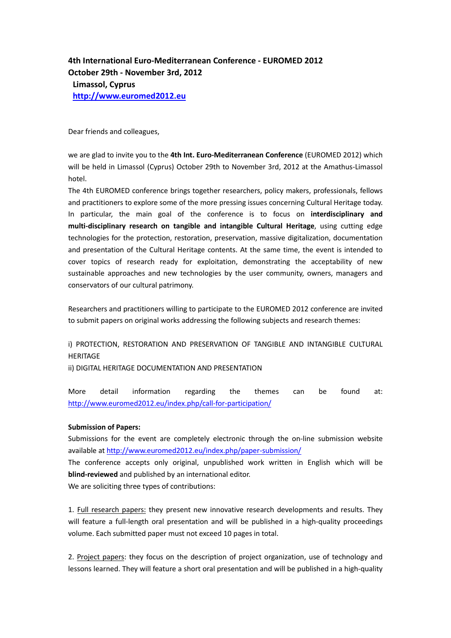**4th International Euro-Mediterranean Conference - EUROMED 2012 October 29th - November 3rd, 2012 Limassol, Cyprus [http://www.euromed2012.eu](http://www.euromed2012.eu/)**

Dear friends and colleagues,

we are glad to invite you to the **4th Int. Euro-Mediterranean Conference** (EUROMED 2012) which will be held in Limassol (Cyprus) October 29th to November 3rd, 2012 at the Amathus-Limassol hotel.

The 4th EUROMED conference brings together researchers, policy makers, professionals, fellows and practitioners to explore some of the more pressing issues concerning Cultural Heritage today. In particular, the main goal of the conference is to focus on **interdisciplinary and multi-disciplinary research on tangible and intangible Cultural Heritage**, using cutting edge technologies for the protection, restoration, preservation, massive digitalization, documentation and presentation of the Cultural Heritage contents. At the same time, the event is intended to cover topics of research ready for exploitation, demonstrating the acceptability of new sustainable approaches and new technologies by the user community, owners, managers and conservators of our cultural patrimony.

Researchers and practitioners willing to participate to the EUROMED 2012 conference are invited to submit papers on original works addressing the following subjects and research themes:

i) PROTECTION, RESTORATION AND PRESERVATION OF TANGIBLE AND INTANGIBLE CULTURAL **HERITAGE** 

ii) DIGITAL HERITAGE DOCUMENTATION AND PRESENTATION

More detail information regarding the themes can be found at: <http://www.euromed2012.eu/index.php/call-for-participation/>

## **Submission of Papers:**

Submissions for the event are completely electronic through the on-line submission website available a[t http://www.euromed2012.eu/index.php/paper-submission/](http://www.euromed2012.eu/index.php/paper-submission/)

The conference accepts only original, unpublished work written in English which will be **blind-reviewed** and published by an international editor.

We are soliciting three types of contributions:

1. Full research papers: they present new innovative research developments and results. They will feature a full-length oral presentation and will be published in a high-quality proceedings volume. Each submitted paper must not exceed 10 pages in total.

2. Project papers: they focus on the description of project organization, use of technology and lessons learned. They will feature a short oral presentation and will be published in a high-quality